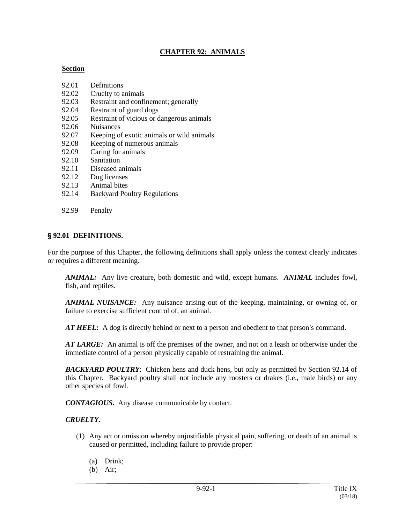#### **CHAPTER 92: ANIMALS**

#### **Section**

- 92.01 Definitions
- 92.02 Cruelty to animals
- 92.03 Restraint and confinement; generally
- 92.04 Restraint of guard dogs
- 92.05 Restraint of vicious or dangerous animals
- 92.06 Nuisances
- 92.07 Keeping of exotic animals or wild animals
- 92.08 Keeping of numerous animals
- 92.09 Caring for animals
- 92.10 Sanitation
- 92.11 Diseased animals
- 92.12 Dog licenses
- 92.13 Animal bites
- 92.14 Backyard Poultry Regulations
- 92.99 Penalty

#### ' **92.01 DEFINITIONS.**

For the purpose of this Chapter, the following definitions shall apply unless the context clearly indicates or requires a different meaning.

*ANIMAL:* Any live creature, both domestic and wild, except humans. *ANIMAL* includes fowl, fish, and reptiles.

*ANIMAL NUISANCE:* Any nuisance arising out of the keeping, maintaining, or owning of, or failure to exercise sufficient control of, an animal.

*AT HEEL:* A dog is directly behind or next to a person and obedient to that person's command.

*AT LARGE:* An animal is off the premises of the owner, and not on a leash or otherwise under the immediate control of a person physically capable of restraining the animal.

*BACKYARD POULTRY*: Chicken hens and duck hens, but only as permitted by Section 92.14 of this Chapter. Backyard poultry shall not include any roosters or drakes (i.e., male birds) or any other species of fowl.

*CONTAGIOUS.* Any disease communicable by contact.

#### *CRUELTY.*

- (1) Any act or omission whereby unjustifiable physical pain, suffering, or death of an animal is caused or permitted, including failure to provide proper:
	- (a) Drink;
	- (b) Air;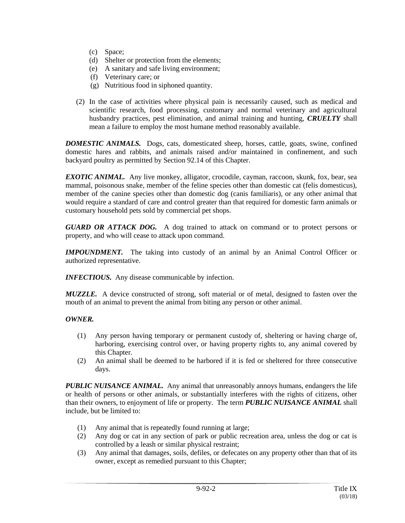- (c) Space;
- (d) Shelter or protection from the elements;
- (e) A sanitary and safe living environment;
- (f) Veterinary care; or
- (g) Nutritious food in siphoned quantity.
- (2) In the case of activities where physical pain is necessarily caused, such as medical and scientific research, food processing, customary and normal veterinary and agricultural husbandry practices, pest elimination, and animal training and hunting, *CRUELTY* shall mean a failure to employ the most humane method reasonably available.

*DOMESTIC ANIMALS.* Dogs, cats, domesticated sheep, horses, cattle, goats, swine, confined domestic hares and rabbits, and animals raised and/or maintained in confinement, and such backyard poultry as permitted by Section 92.14 of this Chapter.

*EXOTIC ANIMAL.* Any live monkey, alligator, crocodile, cayman, raccoon, skunk, fox, bear, sea mammal, poisonous snake, member of the feline species other than domestic cat (felis domesticus), member of the canine species other than domestic dog (canis familiaris), or any other animal that would require a standard of care and control greater than that required for domestic farm animals or customary household pets sold by commercial pet shops.

*GUARD OR ATTACK DOG.* A dog trained to attack on command or to protect persons or property, and who will cease to attack upon command.

*IMPOUNDMENT*. The taking into custody of an animal by an Animal Control Officer or authorized representative.

*INFECTIOUS.* Any disease communicable by infection.

*MUZZLE.* A device constructed of strong, soft material or of metal, designed to fasten over the mouth of an animal to prevent the animal from biting any person or other animal.

### *OWNER.*

- (1) Any person having temporary or permanent custody of, sheltering or having charge of, harboring, exercising control over, or having property rights to, any animal covered by this Chapter.
- (2) An animal shall be deemed to be harbored if it is fed or sheltered for three consecutive days.

*PUBLIC NUISANCE ANIMAL.* Any animal that unreasonably annoys humans, endangers the life or health of persons or other animals, or substantially interferes with the rights of citizens, other than their owners, to enjoyment of life or property. The term *PUBLIC NUISANCE ANIMAL* shall include, but be limited to:

- (1) Any animal that is repeatedly found running at large;
- (2) Any dog or cat in any section of park or public recreation area, unless the dog or cat is controlled by a leash or similar physical restraint;
- (3) Any animal that damages, soils, defiles, or defecates on any property other than that of its owner, except as remedied pursuant to this Chapter;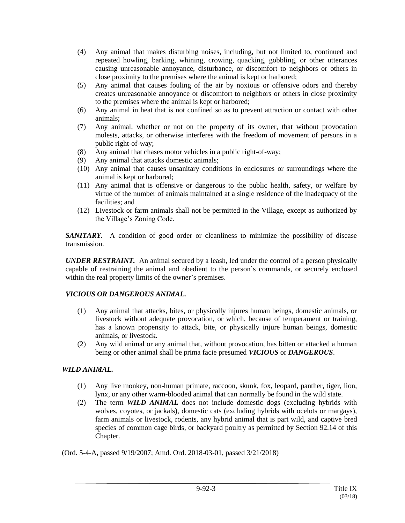- (4) Any animal that makes disturbing noises, including, but not limited to, continued and repeated howling, barking, whining, crowing, quacking, gobbling, or other utterances causing unreasonable annoyance, disturbance, or discomfort to neighbors or others in close proximity to the premises where the animal is kept or harbored;
- (5) Any animal that causes fouling of the air by noxious or offensive odors and thereby creates unreasonable annoyance or discomfort to neighbors or others in close proximity to the premises where the animal is kept or harbored;
- (6) Any animal in heat that is not confined so as to prevent attraction or contact with other animals;
- (7) Any animal, whether or not on the property of its owner, that without provocation molests, attacks, or otherwise interferes with the freedom of movement of persons in a public right-of-way;
- (8) Any animal that chases motor vehicles in a public right-of-way;
- (9) Any animal that attacks domestic animals;
- (10) Any animal that causes unsanitary conditions in enclosures or surroundings where the animal is kept or harbored;
- (11) Any animal that is offensive or dangerous to the public health, safety, or welfare by virtue of the number of animals maintained at a single residence of the inadequacy of the facilities; and
- (12) Livestock or farm animals shall not be permitted in the Village, except as authorized by the Village's Zoning Code.

*SANITARY.* A condition of good order or cleanliness to minimize the possibility of disease transmission.

*UNDER RESTRAINT.* An animal secured by a leash, led under the control of a person physically capable of restraining the animal and obedient to the person's commands, or securely enclosed within the real property limits of the owner's premises.

### *VICIOUS OR DANGEROUS ANIMAL.*

- (1) Any animal that attacks, bites, or physically injures human beings, domestic animals, or livestock without adequate provocation, or which, because of temperament or training, has a known propensity to attack, bite, or physically injure human beings, domestic animals, or livestock.
- (2) Any wild animal or any animal that, without provocation, has bitten or attacked a human being or other animal shall be prima facie presumed *VICIOUS* or *DANGEROUS*.

### *WILD ANIMAL.*

- (1) Any live monkey, non-human primate, raccoon, skunk, fox, leopard, panther, tiger, lion, lynx, or any other warm-blooded animal that can normally be found in the wild state.
- (2) The term *WILD ANIMAL* does not include domestic dogs (excluding hybrids with wolves, coyotes, or jackals), domestic cats (excluding hybrids with ocelots or margays), farm animals or livestock, rodents, any hybrid animal that is part wild, and captive bred species of common cage birds, or backyard poultry as permitted by Section 92.14 of this Chapter.

(Ord. 5-4-A, passed 9/19/2007; Amd. Ord. 2018-03-01, passed 3/21/2018)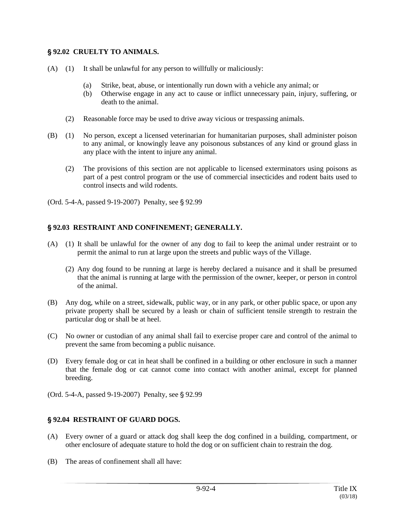#### ' **92.02 CRUELTY TO ANIMALS.**

- (A) (1) It shall be unlawful for any person to willfully or maliciously:
	- (a) Strike, beat, abuse, or intentionally run down with a vehicle any animal; or
	- (b) Otherwise engage in any act to cause or inflict unnecessary pain, injury, suffering, or death to the animal.
	- (2) Reasonable force may be used to drive away vicious or trespassing animals.
- (B) (1) No person, except a licensed veterinarian for humanitarian purposes, shall administer poison to any animal, or knowingly leave any poisonous substances of any kind or ground glass in any place with the intent to injure any animal.
	- (2) The provisions of this section are not applicable to licensed exterminators using poisons as part of a pest control program or the use of commercial insecticides and rodent baits used to control insects and wild rodents.
- (Ord. 5-4-A, passed  $9-19-2007$ ) Penalty, see  $\S 92.99$

### ' **92.03 RESTRAINT AND CONFINEMENT; GENERALLY.**

- (A) (1) It shall be unlawful for the owner of any dog to fail to keep the animal under restraint or to permit the animal to run at large upon the streets and public ways of the Village.
	- (2) Any dog found to be running at large is hereby declared a nuisance and it shall be presumed that the animal is running at large with the permission of the owner, keeper, or person in control of the animal.
- (B) Any dog, while on a street, sidewalk, public way, or in any park, or other public space, or upon any private property shall be secured by a leash or chain of sufficient tensile strength to restrain the particular dog or shall be at heel.
- (C) No owner or custodian of any animal shall fail to exercise proper care and control of the animal to prevent the same from becoming a public nuisance.
- (D) Every female dog or cat in heat shall be confined in a building or other enclosure in such a manner that the female dog or cat cannot come into contact with another animal, except for planned breeding.
- (Ord. 5-4-A, passed 9-19-2007) Penalty, see § 92.99

### ' **92.04 RESTRAINT OF GUARD DOGS.**

- (A) Every owner of a guard or attack dog shall keep the dog confined in a building, compartment, or other enclosure of adequate stature to hold the dog or on sufficient chain to restrain the dog.
- (B) The areas of confinement shall all have: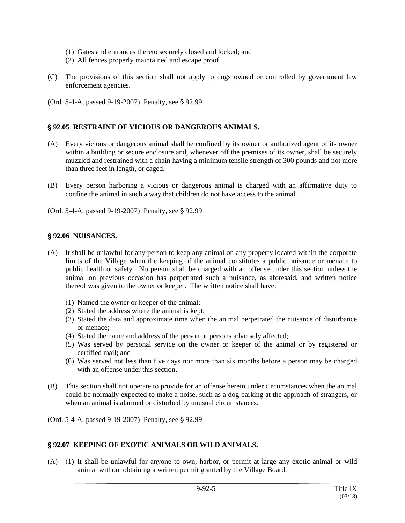- (1) Gates and entrances thereto securely closed and locked; and
- (2) All fences properly maintained and escape proof.
- (C) The provisions of this section shall not apply to dogs owned or controlled by government law enforcement agencies.
- (Ord. 5-4-A, passed 9-19-2007) Penalty, see § 92.99

## ' **92.05 RESTRAINT OF VICIOUS OR DANGEROUS ANIMALS.**

- (A) Every vicious or dangerous animal shall be confined by its owner or authorized agent of its owner within a building or secure enclosure and, whenever off the premises of its owner, shall be securely muzzled and restrained with a chain having a minimum tensile strength of 300 pounds and not more than three feet in length, or caged.
- (B) Every person harboring a vicious or dangerous animal is charged with an affirmative duty to confine the animal in such a way that children do not have access to the animal.

(Ord. 5-4-A, passed 9-19-2007) Penalty, see § 92.99

### ' **92.06 NUISANCES.**

- (A) It shall be unlawful for any person to keep any animal on any property located within the corporate limits of the Village when the keeping of the animal constitutes a public nuisance or menace to public health or safety. No person shall be charged with an offense under this section unless the animal on previous occasion has perpetrated such a nuisance, as aforesaid, and written notice thereof was given to the owner or keeper. The written notice shall have:
	- (1) Named the owner or keeper of the animal;
	- (2) Stated the address where the animal is kept;
	- (3) Stated the data and approximate time when the animal perpetrated the nuisance of disturbance or menace;
	- (4) Stated the name and address of the person or persons adversely affected;
	- (5) Was served by personal service on the owner or keeper of the animal or by registered or certified mail; and
	- (6) Was served not less than five days nor more than six months before a person may be charged with an offense under this section.
- (B) This section shall not operate to provide for an offense herein under circumstances when the animal could be normally expected to make a noise, such as a dog barking at the approach of strangers, or when an animal is alarmed or disturbed by unusual circumstances.

(Ord. 5-4-A, passed 9-19-2007) Penalty, see § 92.99

### ' **92.07 KEEPING OF EXOTIC ANIMALS OR WILD ANIMALS.**

(A) (1) It shall be unlawful for anyone to own, harbor, or permit at large any exotic animal or wild animal without obtaining a written permit granted by the Village Board.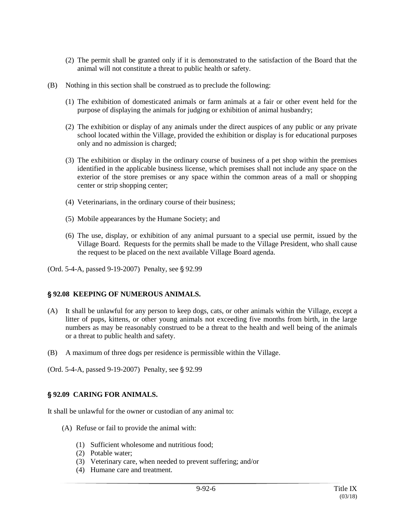- (2) The permit shall be granted only if it is demonstrated to the satisfaction of the Board that the animal will not constitute a threat to public health or safety.
- (B) Nothing in this section shall be construed as to preclude the following:
	- (1) The exhibition of domesticated animals or farm animals at a fair or other event held for the purpose of displaying the animals for judging or exhibition of animal husbandry;
	- (2) The exhibition or display of any animals under the direct auspices of any public or any private school located within the Village, provided the exhibition or display is for educational purposes only and no admission is charged;
	- (3) The exhibition or display in the ordinary course of business of a pet shop within the premises identified in the applicable business license, which premises shall not include any space on the exterior of the store premises or any space within the common areas of a mall or shopping center or strip shopping center;
	- (4) Veterinarians, in the ordinary course of their business;
	- (5) Mobile appearances by the Humane Society; and
	- (6) The use, display, or exhibition of any animal pursuant to a special use permit, issued by the Village Board. Requests for the permits shall be made to the Village President, who shall cause the request to be placed on the next available Village Board agenda.

(Ord. 5-4-A, passed 9-19-2007) Penalty, see § 92.99

### ' **92.08 KEEPING OF NUMEROUS ANIMALS.**

- (A) It shall be unlawful for any person to keep dogs, cats, or other animals within the Village, except a litter of pups, kittens, or other young animals not exceeding five months from birth, in the large numbers as may be reasonably construed to be a threat to the health and well being of the animals or a threat to public health and safety.
- (B) A maximum of three dogs per residence is permissible within the Village.

(Ord. 5-4-A, passed 9-19-2007) Penalty, see § 92.99

# ' **92.09 CARING FOR ANIMALS.**

It shall be unlawful for the owner or custodian of any animal to:

- (A) Refuse or fail to provide the animal with:
	- (1) Sufficient wholesome and nutritious food;
	- (2) Potable water;
	- (3) Veterinary care, when needed to prevent suffering; and/or
	- (4) Humane care and treatment.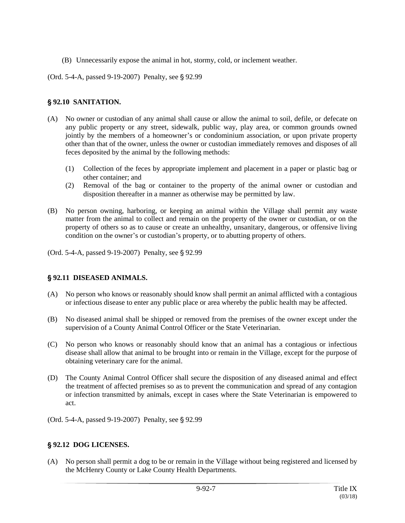- (B) Unnecessarily expose the animal in hot, stormy, cold, or inclement weather.
- (Ord. 5-4-A, passed 9-19-2007) Penalty, see § 92.99

### ' **92.10 SANITATION.**

- (A) No owner or custodian of any animal shall cause or allow the animal to soil, defile, or defecate on any public property or any street, sidewalk, public way, play area, or common grounds owned jointly by the members of a homeowner's or condominium association, or upon private property other than that of the owner, unless the owner or custodian immediately removes and disposes of all feces deposited by the animal by the following methods:
	- (1) Collection of the feces by appropriate implement and placement in a paper or plastic bag or other container; and
	- (2) Removal of the bag or container to the property of the animal owner or custodian and disposition thereafter in a manner as otherwise may be permitted by law.
- (B) No person owning, harboring, or keeping an animal within the Village shall permit any waste matter from the animal to collect and remain on the property of the owner or custodian, or on the property of others so as to cause or create an unhealthy, unsanitary, dangerous, or offensive living condition on the owner's or custodian's property, or to abutting property of others.

(Ord. 5-4-A, passed 9-19-2007) Penalty, see § 92.99

# ' **92.11 DISEASED ANIMALS.**

- (A) No person who knows or reasonably should know shall permit an animal afflicted with a contagious or infectious disease to enter any public place or area whereby the public health may be affected.
- (B) No diseased animal shall be shipped or removed from the premises of the owner except under the supervision of a County Animal Control Officer or the State Veterinarian.
- (C) No person who knows or reasonably should know that an animal has a contagious or infectious disease shall allow that animal to be brought into or remain in the Village, except for the purpose of obtaining veterinary care for the animal.
- (D) The County Animal Control Officer shall secure the disposition of any diseased animal and effect the treatment of affected premises so as to prevent the communication and spread of any contagion or infection transmitted by animals, except in cases where the State Veterinarian is empowered to act.
- (Ord. 5-4-A, passed 9-19-2007) Penalty, see § 92.99

### ' **92.12 DOG LICENSES.**

(A) No person shall permit a dog to be or remain in the Village without being registered and licensed by the McHenry County or Lake County Health Departments.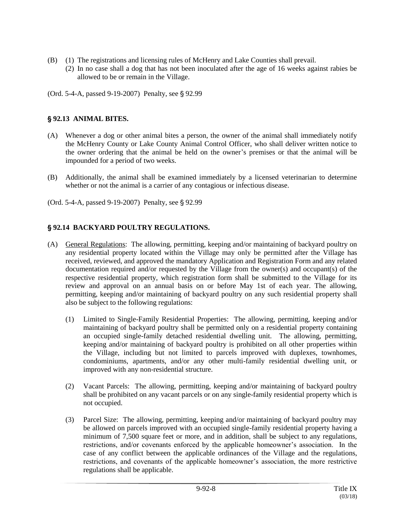- (B) (1) The registrations and licensing rules of McHenry and Lake Counties shall prevail.
	- (2) In no case shall a dog that has not been inoculated after the age of 16 weeks against rabies be allowed to be or remain in the Village.
- (Ord. 5-4-A, passed  $9-19-2007$ ) Penalty, see § 92.99

### ' **92.13 ANIMAL BITES.**

- (A) Whenever a dog or other animal bites a person, the owner of the animal shall immediately notify the McHenry County or Lake County Animal Control Officer, who shall deliver written notice to the owner ordering that the animal be held on the owner's premises or that the animal will be impounded for a period of two weeks.
- (B) Additionally, the animal shall be examined immediately by a licensed veterinarian to determine whether or not the animal is a carrier of any contagious or infectious disease.
- (Ord. 5-4-A, passed 9-19-2007) Penalty, see § 92.99

## ' **92.14 BACKYARD POULTRY REGULATIONS.**

- (A) General Regulations: The allowing, permitting, keeping and/or maintaining of backyard poultry on any residential property located within the Village may only be permitted after the Village has received, reviewed, and approved the mandatory Application and Registration Form and any related documentation required and/or requested by the Village from the owner(s) and occupant(s) of the respective residential property, which registration form shall be submitted to the Village for its review and approval on an annual basis on or before May 1st of each year. The allowing, permitting, keeping and/or maintaining of backyard poultry on any such residential property shall also be subject to the following regulations:
	- (1) Limited to Single-Family Residential Properties: The allowing, permitting, keeping and/or maintaining of backyard poultry shall be permitted only on a residential property containing an occupied single-family detached residential dwelling unit. The allowing, permitting, keeping and/or maintaining of backyard poultry is prohibited on all other properties within the Village, including but not limited to parcels improved with duplexes, townhomes, condominiums, apartments, and/or any other multi-family residential dwelling unit, or improved with any non-residential structure.
	- (2) Vacant Parcels: The allowing, permitting, keeping and/or maintaining of backyard poultry shall be prohibited on any vacant parcels or on any single-family residential property which is not occupied.
	- (3) Parcel Size: The allowing, permitting, keeping and/or maintaining of backyard poultry may be allowed on parcels improved with an occupied single-family residential property having a minimum of 7,500 square feet or more, and in addition, shall be subject to any regulations, restrictions, and/or covenants enforced by the applicable homeowner's association. In the case of any conflict between the applicable ordinances of the Village and the regulations, restrictions, and covenants of the applicable homeowner's association, the more restrictive regulations shall be applicable.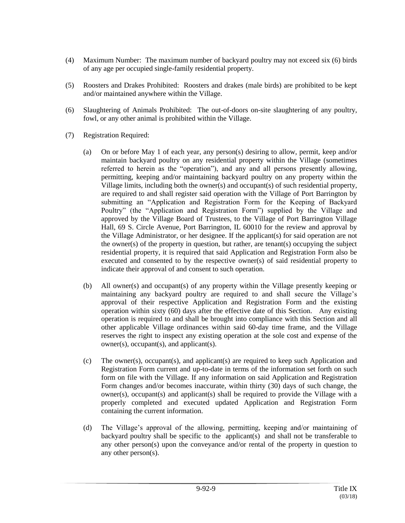- (4) Maximum Number: The maximum number of backyard poultry may not exceed six (6) birds of any age per occupied single-family residential property.
- (5) Roosters and Drakes Prohibited: Roosters and drakes (male birds) are prohibited to be kept and/or maintained anywhere within the Village.
- (6) Slaughtering of Animals Prohibited: The out-of-doors on-site slaughtering of any poultry, fowl, or any other animal is prohibited within the Village.
- (7) Registration Required:
	- (a) On or before May 1 of each year, any person(s) desiring to allow, permit, keep and/or maintain backyard poultry on any residential property within the Village (sometimes referred to herein as the "operation"), and any and all persons presently allowing, permitting, keeping and/or maintaining backyard poultry on any property within the Village limits, including both the owner(s) and occupant(s) of such residential property, are required to and shall register said operation with the Village of Port Barrington by submitting an "Application and Registration Form for the Keeping of Backyard Poultry" (the "Application and Registration Form") supplied by the Village and approved by the Village Board of Trustees, to the Village of Port Barrington Village Hall, 69 S. Circle Avenue, Port Barrington, IL 60010 for the review and approval by the Village Administrator, or her designee. If the applicant(s) for said operation are not the owner(s) of the property in question, but rather, are tenant(s) occupying the subject residential property, it is required that said Application and Registration Form also be executed and consented to by the respective owner(s) of said residential property to indicate their approval of and consent to such operation.
	- (b) All owner(s) and occupant(s) of any property within the Village presently keeping or maintaining any backyard poultry are required to and shall secure the Village's approval of their respective Application and Registration Form and the existing operation within sixty (60) days after the effective date of this Section. Any existing operation is required to and shall be brought into compliance with this Section and all other applicable Village ordinances within said 60-day time frame, and the Village reserves the right to inspect any existing operation at the sole cost and expense of the owner(s), occupant(s), and applicant(s).
	- (c) The owner(s), occupant(s), and applicant(s) are required to keep such Application and Registration Form current and up-to-date in terms of the information set forth on such form on file with the Village. If any information on said Application and Registration Form changes and/or becomes inaccurate, within thirty (30) days of such change, the owner(s), occupant(s) and applicant(s) shall be required to provide the Village with a properly completed and executed updated Application and Registration Form containing the current information.
	- (d) The Village's approval of the allowing, permitting, keeping and/or maintaining of backyard poultry shall be specific to the applicant(s) and shall not be transferable to any other person(s) upon the conveyance and/or rental of the property in question to any other person(s).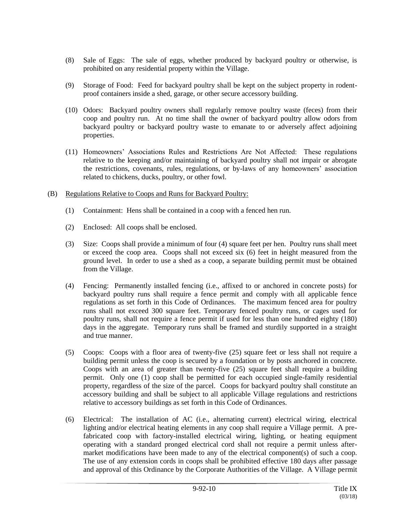- (8) Sale of Eggs: The sale of eggs, whether produced by backyard poultry or otherwise, is prohibited on any residential property within the Village.
- (9) Storage of Food: Feed for backyard poultry shall be kept on the subject property in rodentproof containers inside a shed, garage, or other secure accessory building.
- (10) Odors: Backyard poultry owners shall regularly remove poultry waste (feces) from their coop and poultry run. At no time shall the owner of backyard poultry allow odors from backyard poultry or backyard poultry waste to emanate to or adversely affect adjoining properties.
- (11) Homeowners' Associations Rules and Restrictions Are Not Affected: These regulations relative to the keeping and/or maintaining of backyard poultry shall not impair or abrogate the restrictions, covenants, rules, regulations, or by-laws of any homeowners' association related to chickens, ducks, poultry, or other fowl.
- (B) Regulations Relative to Coops and Runs for Backyard Poultry:
	- (1) Containment: Hens shall be contained in a coop with a fenced hen run.
	- (2) Enclosed: All coops shall be enclosed.
	- (3) Size: Coops shall provide a minimum of four (4) square feet per hen. Poultry runs shall meet or exceed the coop area. Coops shall not exceed six (6) feet in height measured from the ground level. In order to use a shed as a coop, a separate building permit must be obtained from the Village.
	- (4) Fencing: Permanently installed fencing (i.e., affixed to or anchored in concrete posts) for backyard poultry runs shall require a fence permit and comply with all applicable fence regulations as set forth in this Code of Ordinances. The maximum fenced area for poultry runs shall not exceed 300 square feet. Temporary fenced poultry runs, or cages used for poultry runs, shall not require a fence permit if used for less than one hundred eighty (180) days in the aggregate. Temporary runs shall be framed and sturdily supported in a straight and true manner.
	- (5) Coops: Coops with a floor area of twenty-five (25) square feet or less shall not require a building permit unless the coop is secured by a foundation or by posts anchored in concrete. Coops with an area of greater than twenty-five (25) square feet shall require a building permit. Only one (1) coop shall be permitted for each occupied single-family residential property, regardless of the size of the parcel. Coops for backyard poultry shall constitute an accessory building and shall be subject to all applicable Village regulations and restrictions relative to accessory buildings as set forth in this Code of Ordinances.
	- (6) Electrical: The installation of AC (i.e., alternating current) electrical wiring, electrical lighting and/or electrical heating elements in any coop shall require a Village permit. A prefabricated coop with factory-installed electrical wiring, lighting, or heating equipment operating with a standard pronged electrical cord shall not require a permit unless aftermarket modifications have been made to any of the electrical component(s) of such a coop. The use of any extension cords in coops shall be prohibited effective 180 days after passage and approval of this Ordinance by the Corporate Authorities of the Village. A Village permit